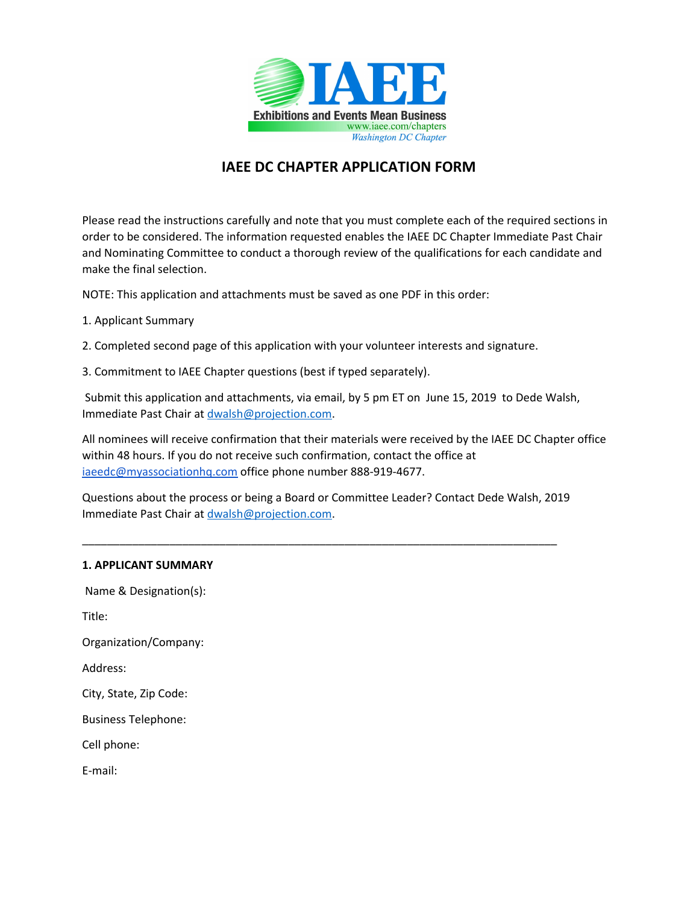

# **IAEE DC CHAPTER APPLICATION FORM**

Please read the instructions carefully and note that you must complete each of the required sections in order to be considered. The information requested enables the IAEE DC Chapter Immediate Past Chair and Nominating Committee to conduct a thorough review of the qualifications for each candidate and make the final selection.

NOTE: This application and attachments must be saved as one PDF in this order:

- 1. Applicant Summary
- 2. Completed second page of this application with your volunteer interests and signature.
- 3. Commitment to IAEE Chapter questions (best if typed separately).

Submit this application and attachments, via email, by 5 pm ET on June 15, 2019 to Dede Walsh, Immediate Past Chair at [dwalsh@projection.com.](mailto:dwalsh@projection.com)

All nominees will receive confirmation that their materials were received by the IAEE DC Chapter office within 48 hours. If you do not receive such confirmation, contact the office at [iaeedc@myassociationhq.com](mailto:iaeedc@myassociationhq.com) office phone number 888-919-4677.

Questions about the process or being a Board or Committee Leader? Contact Dede Walsh, 2019 Immediate Past Chair at [dwalsh@projection.com.](mailto:dwalsh@projection.com)

\_\_\_\_\_\_\_\_\_\_\_\_\_\_\_\_\_\_\_\_\_\_\_\_\_\_\_\_\_\_\_\_\_\_\_\_\_\_\_\_\_\_\_\_\_\_\_\_\_\_\_\_\_\_\_\_\_\_\_\_\_\_\_\_\_\_\_\_\_\_\_\_\_\_\_\_

## **1. APPLICANT SUMMARY**

Name & Designation(s):

Title:

Organization/Company:

Address:

City, State, Zip Code:

Business Telephone:

Cell phone:

E-mail: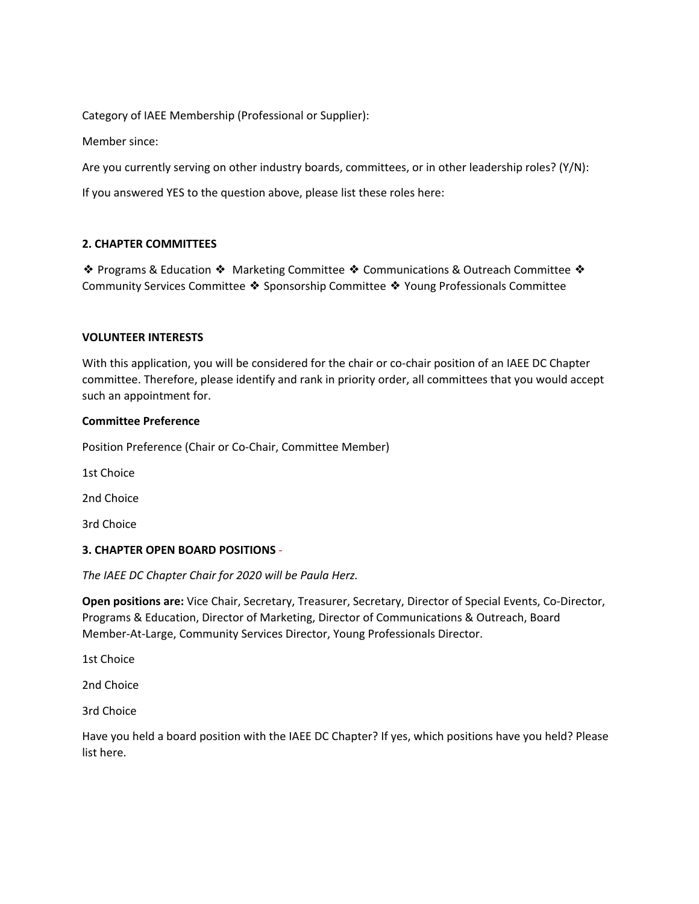Category of IAEE Membership (Professional or Supplier):

Member since:

Are you currently serving on other industry boards, committees, or in other leadership roles? (Y/N):

If you answered YES to the question above, please list these roles here:

## **2. CHAPTER COMMITTEES**

❖ Programs & Education ❖ Marketing Committee ❖ Communications & Outreach Committee ❖ Community Services Committee ❖ Sponsorship Committee ❖ Young Professionals Committee

#### **VOLUNTEER INTERESTS**

With this application, you will be considered for the chair or co-chair position of an IAEE DC Chapter committee. Therefore, please identify and rank in priority order, all committees that you would accept such an appointment for.

#### **Committee Preference**

Position Preference (Chair or Co-Chair, Committee Member)

1st Choice

2nd Choice

3rd Choice

## **3. CHAPTER OPEN BOARD POSITIONS** -

*The IAEE DC Chapter Chair for 2020 will be Paula Herz.*

**Open positions are:** Vice Chair, Secretary, Treasurer, Secretary, Director of Special Events, Co-Director, Programs & Education, Director of Marketing, Director of Communications & Outreach, Board Member-At-Large, Community Services Director, Young Professionals Director.

1st Choice

2nd Choice

3rd Choice

Have you held a board position with the IAEE DC Chapter? If yes, which positions have you held? Please list here.